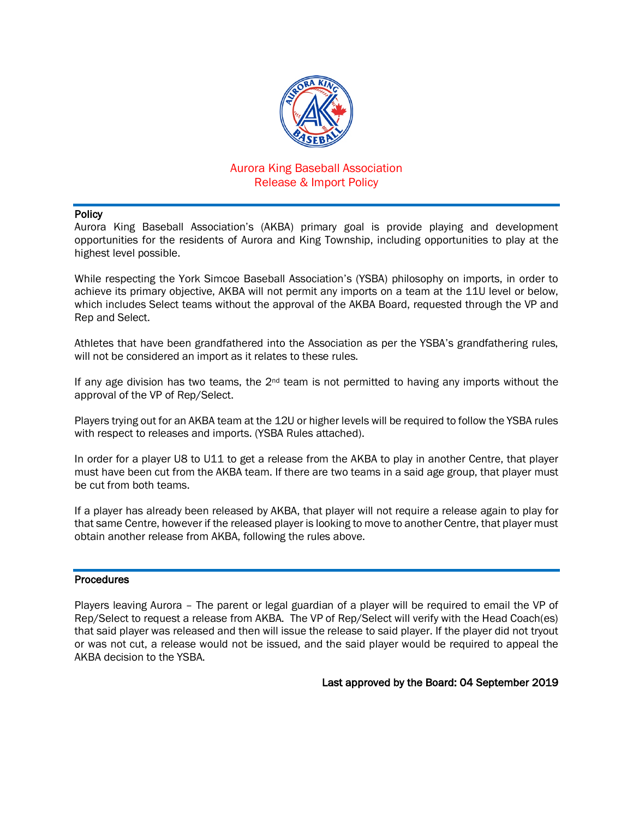

## Aurora King Baseball Association Release & Import Policy

#### **Policy**

Aurora King Baseball Association's (AKBA) primary goal is provide playing and development opportunities for the residents of Aurora and King Township, including opportunities to play at the highest level possible.

While respecting the York Simcoe Baseball Association's (YSBA) philosophy on imports, in order to achieve its primary objective, AKBA will not permit any imports on a team at the 11U level or below, which includes Select teams without the approval of the AKBA Board, requested through the VP and Rep and Select.

Athletes that have been grandfathered into the Association as per the YSBA's grandfathering rules, will not be considered an import as it relates to these rules.

If any age division has two teams, the  $2<sup>nd</sup>$  team is not permitted to having any imports without the approval of the VP of Rep/Select.

Players trying out for an AKBA team at the 12U or higher levels will be required to follow the YSBA rules with respect to releases and imports. (YSBA Rules attached).

In order for a player U8 to U11 to get a release from the AKBA to play in another Centre, that player must have been cut from the AKBA team. If there are two teams in a said age group, that player must be cut from both teams.

If a player has already been released by AKBA, that player will not require a release again to play for that same Centre, however if the released player is looking to move to another Centre, that player must obtain another release from AKBA, following the rules above.

#### **Procedures**

Players leaving Aurora – The parent or legal guardian of a player will be required to email the VP of Rep/Select to request a release from AKBA. The VP of Rep/Select will verify with the Head Coach(es) that said player was released and then will issue the release to said player. If the player did not tryout or was not cut, a release would not be issued, and the said player would be required to appeal the AKBA decision to the YSBA.

Last approved by the Board: 04 September 2019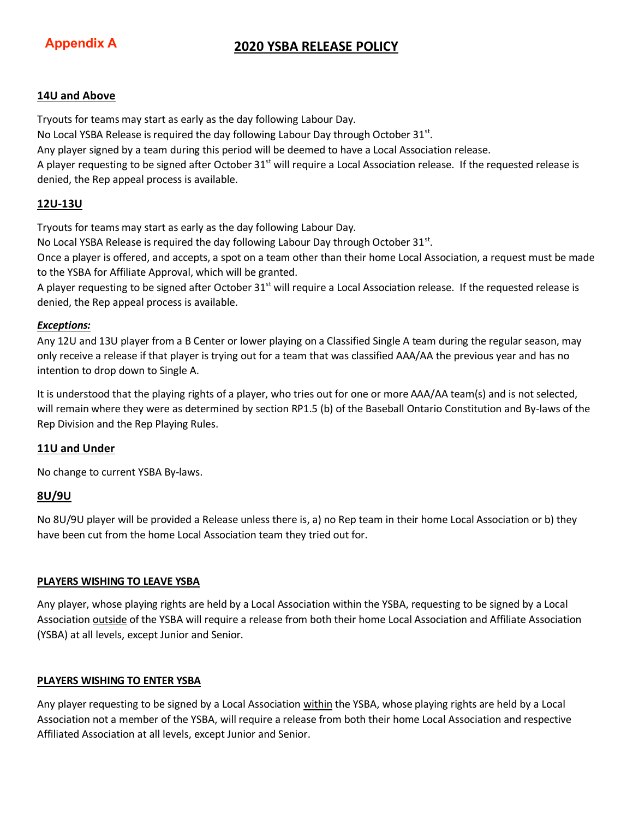# **Appendix A**

# **2020 YSBA RELEASE POLICY**

#### **14U and Above**

Tryouts for teams may start as early as the day following Labour Day.

No Local YSBA Release is required the day following Labour Day through October  $31<sup>st</sup>$ .

Any player signed by a team during this period will be deemed to have a Local Association release.

A player requesting to be signed after October  $31^{st}$  will require a Local Association release. If the requested release is denied, the Rep appeal process is available.

### **12U-13U**

Tryouts for teams may start as early as the day following Labour Day.

No Local YSBA Release is required the day following Labour Day through October  $31^{st}$ .

Once a player is offered, and accepts, a spot on a team other than their home Local Association, a request must be made to the YSBA for Affiliate Approval, which will be granted.

A player requesting to be signed after October 31<sup>st</sup> will require a Local Association release. If the requested release is denied, the Rep appeal process is available.

#### *Exceptions:*

Any 12U and 13U player from a B Center or lower playing on a Classified Single A team during the regular season, may only receive a release if that player is trying out for a team that was classified AAA/AA the previous year and has no intention to drop down to Single A.

It is understood that the playing rights of a player, who tries out for one or more AAA/AA team(s) and is not selected, will remain where they were as determined by section RP1.5 (b) of the Baseball Ontario Constitution and By-laws of the Rep Division and the Rep Playing Rules.

## **11U and Under**

No change to current YSBA By-laws.

## **8U/9U**

No 8U/9U player will be provided a Release unless there is, a) no Rep team in their home Local Association or b) they have been cut from the home Local Association team they tried out for.

#### **PLAYERS WISHING TO LEAVE YSBA**

Any player, whose playing rights are held by a Local Association within the YSBA, requesting to be signed by a Local Association outside of the YSBA will require a release from both their home Local Association and Affiliate Association (YSBA) at all levels, except Junior and Senior.

#### **PLAYERS WISHING TO ENTER YSBA**

Any player requesting to be signed by a Local Association within the YSBA, whose playing rights are held by a Local Association not a member of the YSBA, will require a release from both their home Local Association and respective Affiliated Association at all levels, except Junior and Senior.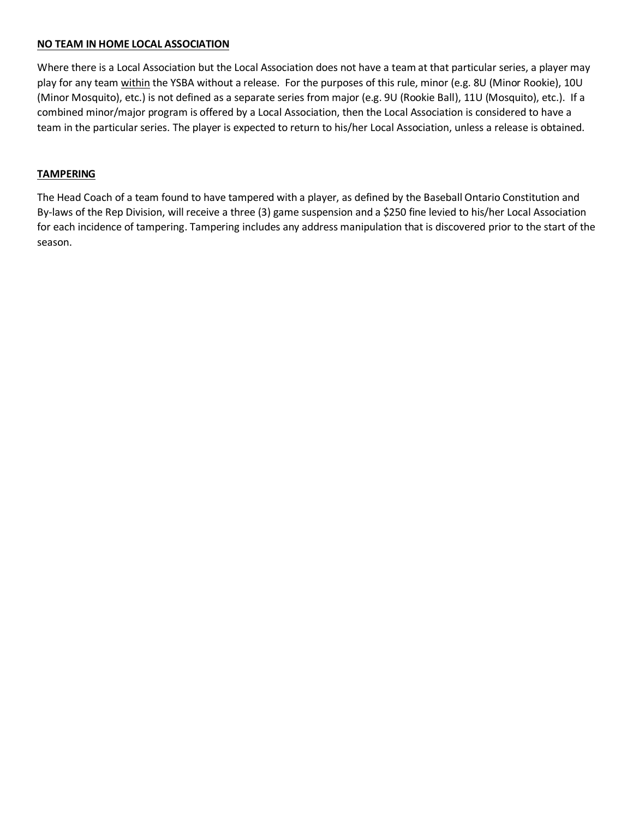#### **NO TEAM IN HOME LOCAL ASSOCIATION**

Where there is a Local Association but the Local Association does not have a team at that particular series, a player may play for any team within the YSBA without a release. For the purposes of this rule, minor (e.g. 8U (Minor Rookie), 10U (Minor Mosquito), etc.) is not defined as a separate series from major (e.g. 9U (Rookie Ball), 11U (Mosquito), etc.). If a combined minor/major program is offered by a Local Association, then the Local Association is considered to have a team in the particular series. The player is expected to return to his/her Local Association, unless a release is obtained.

#### **TAMPERING**

The Head Coach of a team found to have tampered with a player, as defined by the Baseball Ontario Constitution and By-laws of the Rep Division, will receive a three (3) game suspension and a \$250 fine levied to his/her Local Association for each incidence of tampering. Tampering includes any address manipulation that is discovered prior to the start of the season.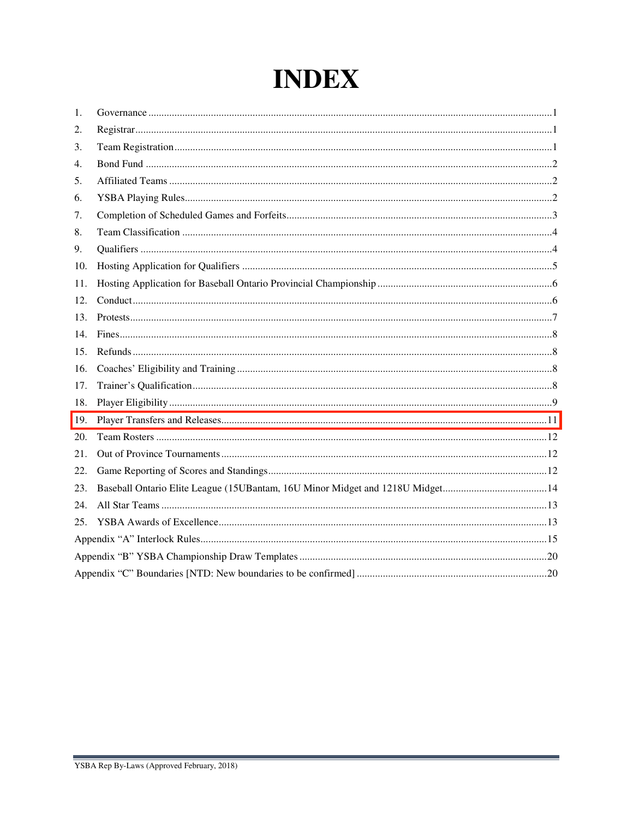# **INDEX**

| 1.  |                                                                                |  |
|-----|--------------------------------------------------------------------------------|--|
| 2.  |                                                                                |  |
| 3.  |                                                                                |  |
| 4.  |                                                                                |  |
| 5.  |                                                                                |  |
| 6.  |                                                                                |  |
| 7.  |                                                                                |  |
| 8.  |                                                                                |  |
| 9.  |                                                                                |  |
| 10. |                                                                                |  |
| 11. |                                                                                |  |
| 12. |                                                                                |  |
| 13. |                                                                                |  |
| 14. |                                                                                |  |
| 15. |                                                                                |  |
| 16. |                                                                                |  |
| 17. |                                                                                |  |
| 18. |                                                                                |  |
| 19. |                                                                                |  |
| 20. |                                                                                |  |
| 21. |                                                                                |  |
| 22. |                                                                                |  |
| 23. | Baseball Ontario Elite League (15UB antam, 16U Minor Midget and 1218U Midget14 |  |
| 24. |                                                                                |  |
| 25. |                                                                                |  |
|     |                                                                                |  |
|     |                                                                                |  |
|     |                                                                                |  |

and the control of the control of the control of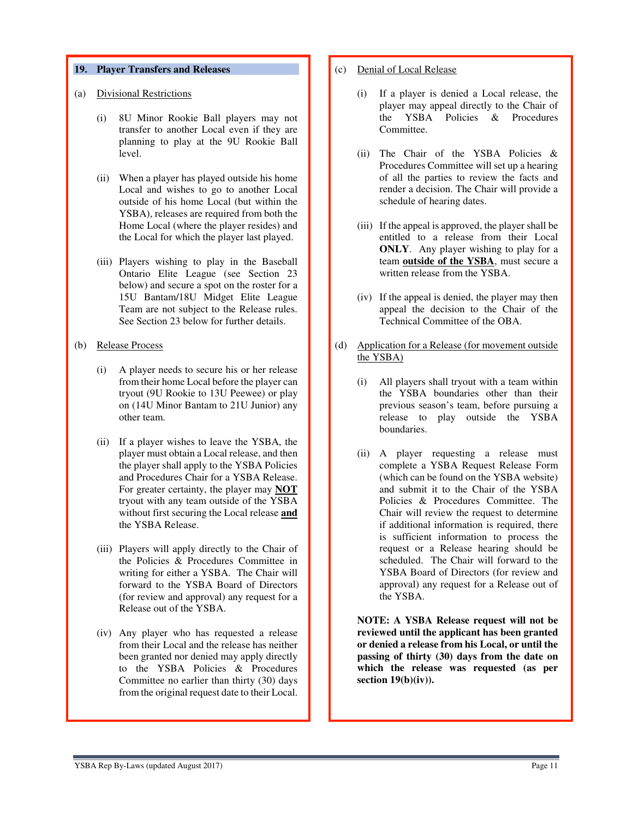#### **19. Player Transfers and Releases**

#### (a) Divisional Restrictions

- (i) 8U Minor Rookie Ball players may not transfer to another Local even if they are planning to play at the 9U Rookie Ball level.
- (ii) When a player has played outside his home Local and wishes to go to another Local outside of his home Local (but within the YSBA), releases are required from both the Home Local (where the player resides) and the Local for which the player last played.
- (iii) Players wishing to play in the Baseball Ontario Elite League (see Section 23 below) and secure a spot on the roster for a 15U Bantam/18U Midget Elite League Team are not subject to the Release rules. See Section 23 below for further details.

#### (b) Release Process

- (i) A player needs to secure his or her release from their home Local before the player can tryout (9U Rookie to 13U Peewee) or play on (14U Minor Bantam to 21U Junior) any other team.
- (ii) If a player wishes to leave the YSBA, the player must obtain a Local release, and then the player shall apply to the YSBA Policies and Procedures Chair for a YSBA Release. For greater certainty, the player may **NOT** tryout with any team outside of the YSBA without first securing the Local release **and** the YSBA Release.
- (iii) Players will apply directly to the Chair of the Policies & Procedures Committee in writing for either a YSBA. The Chair will forward to the YSBA Board of Directors (for review and approval) any request for a Release out of the YSBA.
- (iv) Any player who has requested a release from their Local and the release has neither been granted nor denied may apply directly to the YSBA Policies & Procedures Committee no earlier than thirty (30) days from the original request date to their Local.

#### (c) Denial of Local Release

- (i) If a player is denied a Local release, the player may appeal directly to the Chair of the YSBA Policies & Procedures Committee.
- (ii) The Chair of the YSBA Policies & Procedures Committee will set up a hearing of all the parties to review the facts and render a decision. The Chair will provide a schedule of hearing dates.
- (iii) If the appeal is approved, the player shall be entitled to a release from their Local **ONLY**. Any player wishing to play for a team **outside of the YSBA**, must secure a written release from the YSBA.
- (iv) If the appeal is denied, the player may then appeal the decision to the Chair of the Technical Committee of the OBA.
- (d) Application for a Release (for movement outside the YSBA)
	- (i) All players shall tryout with a team within the YSBA boundaries other than their previous season's team, before pursuing a release to play outside the YSBA boundaries.
	- (ii) A player requesting a release must complete a YSBA Request Release Form (which can be found on the YSBA website) and submit it to the Chair of the YSBA Policies & Procedures Committee. The Chair will review the request to determine if additional information is required, there is sufficient information to process the request or a Release hearing should be scheduled. The Chair will forward to the YSBA Board of Directors (for review and approval) any request for a Release out of the YSBA.

**NOTE: A YSBA Release request will not be reviewed until the applicant has been granted or denied a release from his Local, or until the passing of thirty (30) days from the date on which the release was requested (as per section 19(b)(iv)).**